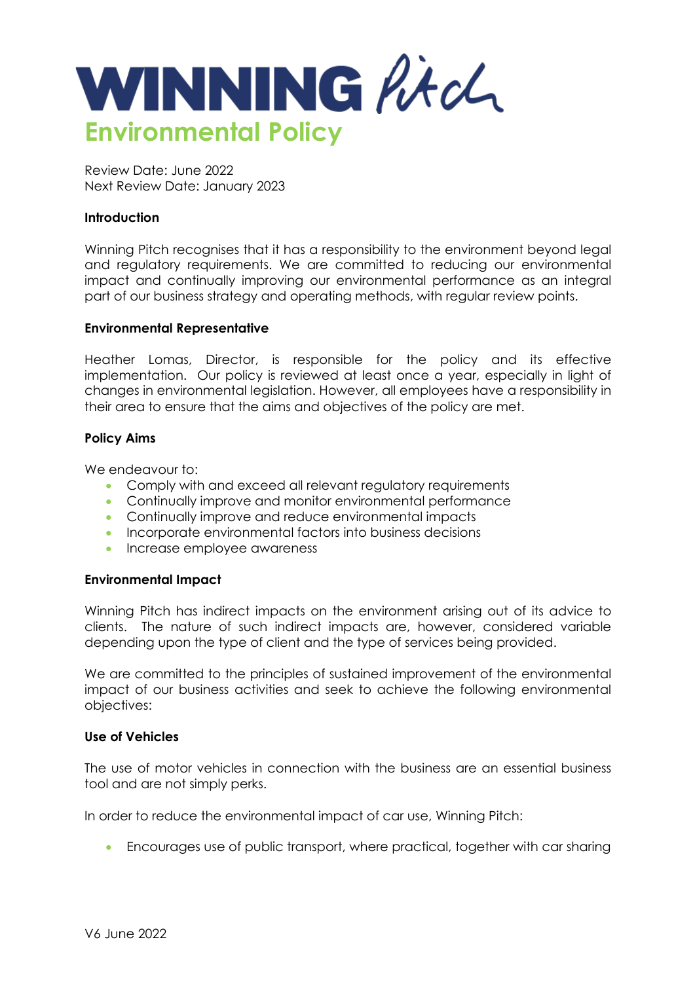

Review Date: June 2022 Next Review Date: January 2023

# **Introduction**

Winning Pitch recognises that it has a responsibility to the environment beyond legal and regulatory requirements. We are committed to reducing our environmental impact and continually improving our environmental performance as an integral part of our business strategy and operating methods, with regular review points.

# **Environmental Representative**

Heather Lomas, Director, is responsible for the policy and its effective implementation. Our policy is reviewed at least once a year, especially in light of changes in environmental legislation. However, all employees have a responsibility in their area to ensure that the aims and objectives of the policy are met.

# **Policy Aims**

We endeavour to:

- Comply with and exceed all relevant requidatory requirements
- Continually improve and monitor environmental performance
- Continually improve and reduce environmental impacts
- Incorporate environmental factors into business decisions
- Increase employee awareness

# **Environmental Impact**

Winning Pitch has indirect impacts on the environment arising out of its advice to clients. The nature of such indirect impacts are, however, considered variable depending upon the type of client and the type of services being provided.

We are committed to the principles of sustained improvement of the environmental impact of our business activities and seek to achieve the following environmental objectives:

# **Use of Vehicles**

The use of motor vehicles in connection with the business are an essential business tool and are not simply perks.

In order to reduce the environmental impact of car use, Winning Pitch:

• Encourages use of public transport, where practical, together with car sharing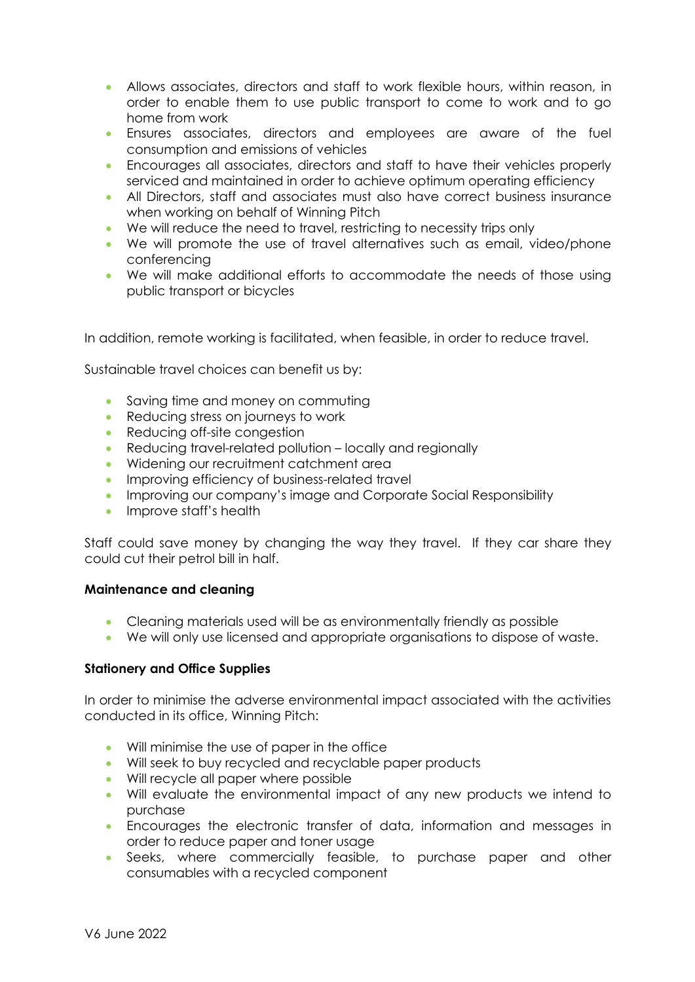- Allows associates, directors and staff to work flexible hours, within reason, in order to enable them to use public transport to come to work and to go home from work
- Ensures associates, directors and employees are aware of the fuel consumption and emissions of vehicles
- Encourages all associates, directors and staff to have their vehicles properly serviced and maintained in order to achieve optimum operating efficiency
- All Directors, staff and associates must also have correct business insurance when working on behalf of Winning Pitch
- We will reduce the need to travel, restricting to necessity trips only
- We will promote the use of travel alternatives such as email, video/phone conferencing
- We will make additional efforts to accommodate the needs of those using public transport or bicycles

In addition, remote working is facilitated, when feasible, in order to reduce travel.

Sustainable travel choices can benefit us by:

- Saving time and money on commuting
- Reducing stress on journeys to work
- Reducing off-site congestion
- Reducing travel-related pollution locally and regionally
- Widening our recruitment catchment area
- Improving efficiency of business-related travel
- Improving our company's image and Corporate Social Responsibility
- Improve staff's health

Staff could save money by changing the way they travel. If they car share they could cut their petrol bill in half.

# **Maintenance and cleaning**

- Cleaning materials used will be as environmentally friendly as possible
- We will only use licensed and appropriate organisations to dispose of waste.

# **Stationery and Office Supplies**

In order to minimise the adverse environmental impact associated with the activities conducted in its office, Winning Pitch:

- Will minimise the use of paper in the office
- Will seek to buy recycled and recyclable paper products
- Will recycle all paper where possible
- Will evaluate the environmental impact of any new products we intend to purchase
- Encourages the electronic transfer of data, information and messages in order to reduce paper and toner usage
- Seeks, where commercially feasible, to purchase paper and other consumables with a recycled component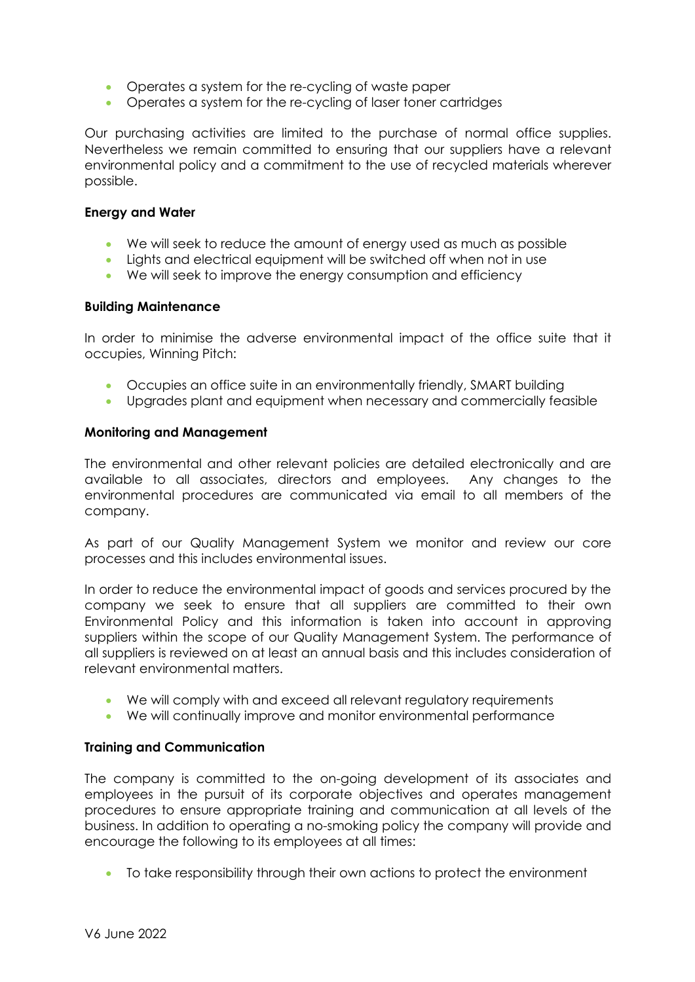- Operates a system for the re-cycling of waste paper
- Operates a system for the re-cycling of laser toner cartridges

Our purchasing activities are limited to the purchase of normal office supplies. Nevertheless we remain committed to ensuring that our suppliers have a relevant environmental policy and a commitment to the use of recycled materials wherever possible.

## **Energy and Water**

- We will seek to reduce the amount of energy used as much as possible
- Lights and electrical equipment will be switched off when not in use
- We will seek to improve the energy consumption and efficiency

## **Building Maintenance**

In order to minimise the adverse environmental impact of the office suite that it occupies, Winning Pitch:

- Occupies an office suite in an environmentally friendly, SMART building
- Upgrades plant and equipment when necessary and commercially feasible

## **Monitoring and Management**

The environmental and other relevant policies are detailed electronically and are available to all associates, directors and employees. Any changes to the environmental procedures are communicated via email to all members of the company.

As part of our Quality Management System we monitor and review our core processes and this includes environmental issues.

In order to reduce the environmental impact of goods and services procured by the company we seek to ensure that all suppliers are committed to their own Environmental Policy and this information is taken into account in approving suppliers within the scope of our Quality Management System. The performance of all suppliers is reviewed on at least an annual basis and this includes consideration of relevant environmental matters.

- We will comply with and exceed all relevant regulatory requirements
- We will continually improve and monitor environmental performance

# **Training and Communication**

The company is committed to the on-going development of its associates and employees in the pursuit of its corporate objectives and operates management procedures to ensure appropriate training and communication at all levels of the business. In addition to operating a no-smoking policy the company will provide and encourage the following to its employees at all times:

• To take responsibility through their own actions to protect the environment